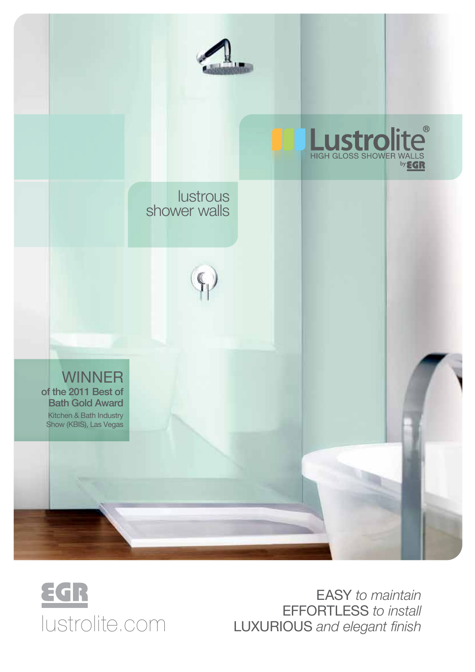



EASY to maintain<br>EFFORTLESS to install EASY to maintain<br>EFFORTLESS to install<br>IUStrolite.com Luxurious *and elegant finish*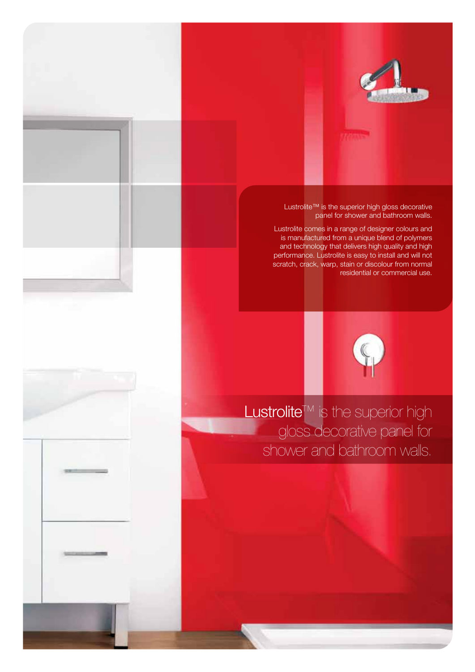

Lustrolite™ is the superior high gloss decorative panel for shower and bathroom walls.

Lustrolite comes in a range of designer colours and is manufactured from a unique blend of polymers and technology that delivers high quality and high performance. Lustrolite is easy to install and will not scratch, crack, warp, stain or discolour from normal residential or commercial use.



Lustrolite™ is the superior high gloss decorative panel for shower and bathroom walls.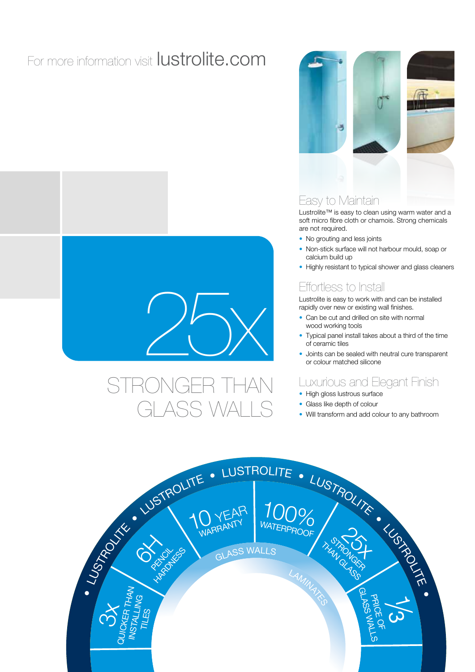# For more information visit lustrolite.com



# stronger than ASS WALL



## Easy to Maintain

Lustrolite™ is easy to clean using warm water and a soft micro fibre cloth or chamois. Strong chemicals are not required.

- No grouting and less joints
- Non-stick surface will not harbour mould, soap or calcium build up
- Highly resistant to typical shower and glass cleaners

## Effortless to Install

Lustrolite is easy to work with and can be installed rapidly over new or existing wall finishes.

- Can be cut and drilled on site with normal wood working tools
- Typical panel install takes about a third of the time of ceramic tiles
- Joints can be sealed with neutral cure transparent or colour matched silicone

## Luxurious and Elegant Finish

- High gloss lustrous surface
- Glass like depth of colour
- Will transform and add colour to any bathroom

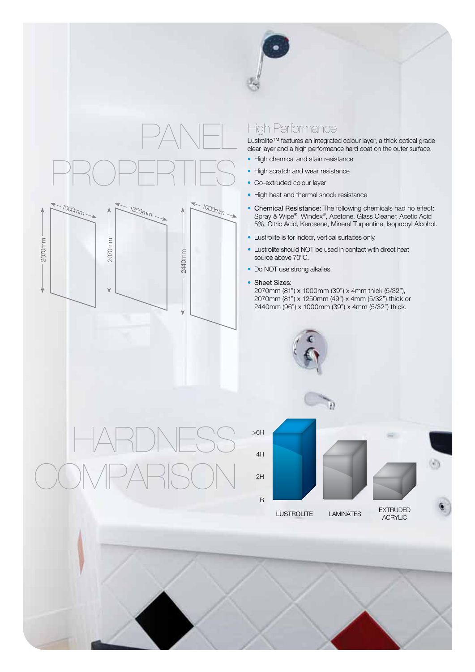



2440mm

## High Performance

Lustrolite™ features an integrated colour layer, a thick optical grade clear layer and a high performance hard coat on the outer surface.

- High chemical and stain resistance
- High scratch and wear resistance
- Co-extruded colour layer
- High heat and thermal shock resistance
- Chemical Resistance: The following chemicals had no effect: Spray & Wipe®, Windex®, Acetone, Glass Cleaner, Acetic Acid 5%, Citric Acid, Kerosene, Mineral Turpentine, Isopropyl Alcohol.
- Lustrolite is for indoor, vertical surfaces only.
- Lustrolite should NOT be used in contact with direct heat source above 70°C.
- Do NOT use strong alkalies.
- Sheet Sizes:

2070mm (81") x 1000mm (39") x 4mm thick (5/32"), 2070mm (81") x 1250mm (49") x 4mm (5/32") thick or 2440mm (96") x 1000mm (39") x 4mm (5/32") thick.



HARDN COMPARISO

2070mm

2070mm

J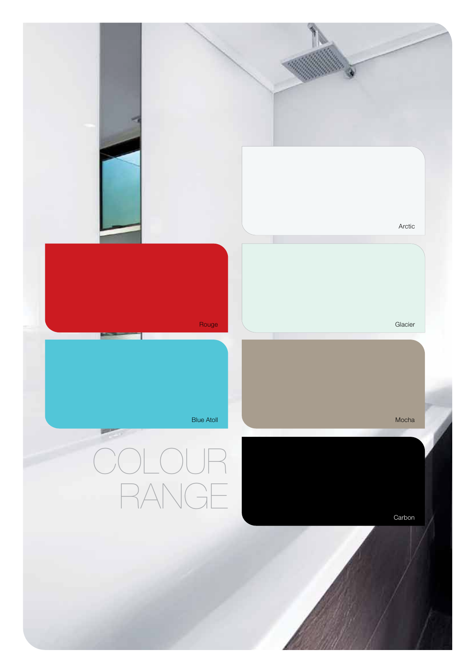